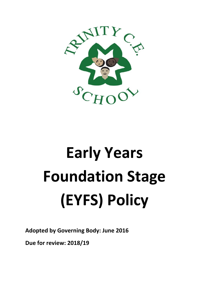

# **Early Years Foundation Stage (EYFS) Policy**

**Adopted by Governing Body: June 2016**

**Due for review: 2018/19**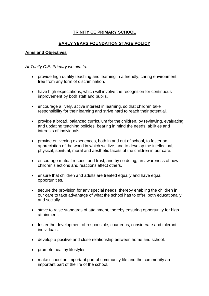# **TRINITY CE PRIMARY SCHOOL**

# **EARLY YEARS FOUNDATION STAGE POLICY**

### **Aims and Objectives**

### *At Trinity C.E. Primary we aim to:*

- provide high quality teaching and learning in a friendly, caring environment, free from any form of discrimination.
- have high expectations, which will involve the recognition for continuous improvement by both staff and pupils.
- encourage a lively, active interest in learning, so that children take responsibility for their learning and strive hard to reach their potential.
- provide a broad, balanced curriculum for the children, by reviewing, evaluating and updating teaching policies, bearing in mind the needs, abilities and interests of individuals**.**
- provide enlivening experiences, both in and out of school, to foster an appreciation of the world in which we live, and to develop the intellectual, physical, spiritual, moral and aesthetic facets of the children in our care.
- encourage mutual respect and trust, and by so doing, an awareness of how children's actions and reactions affect others.
- ensure that children and adults are treated equally and have equal opportunities.
- secure the provision for any special needs, thereby enabling the children in our care to take advantage of what the school has to offer, both educationally and socially.
- strive to raise standards of attainment, thereby ensuring opportunity for high attainment.
- foster the development of responsible, courteous, considerate and tolerant individuals.
- develop a positive and close relationship between home and school.
- promote healthy lifestyles
- make school an important part of community life and the community an important part of the life of the school.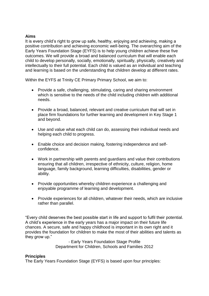### **Aims**

It is every child's right to grow up safe, healthy, enjoying and achieving, making a positive contribution and achieving economic well-being. The overarching aim of the Early Years Foundation Stage (EYFS) is to help young children achieve these five outcomes. We will provide a broad and balanced curriculum that will enable each child to develop personally, socially, emotionally, spiritually, physically, creatively and intellectually to their full potential. Each child is valued as an individual and teaching and learning is based on the understanding that children develop at different rates.

Within the EYFS at Trinity CE Primary Primary School, we aim to:

- Provide a safe, challenging, stimulating, caring and sharing environment which is sensitive to the needs of the child including children with additional needs.
- Provide a broad, balanced, relevant and creative curriculum that will set in place firm foundations for further learning and development in Key Stage 1 and beyond.
- Use and value what each child can do, assessing their individual needs and helping each child to progress.
- Enable choice and decision making, fostering independence and selfconfidence.
- Work in partnership with parents and guardians and value their contributions ensuring that all children, irrespective of ethnicity, culture, religion, home language, family background, learning difficulties, disabilities, gender or ability.
- Provide opportunities whereby children experience a challenging and enjoyable programme of learning and development.
- Provide experiences for all children, whatever their needs, which are inclusive rather than parallel.

"Every child deserves the best possible start in life and support to fulfil their potential. A child's experience in the early years has a major impact on their future life chances. A secure, safe and happy childhood is important in its own right and it provides the foundation for children to make the most of their abilities and talents as they grow up."

> - Early Years Foundation Stage Profile Department for Children, Schools and Families 2012

### **Principles**

The Early Years Foundation Stage (EYFS) is based upon four principles: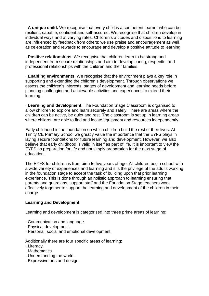· **A unique child.** We recognise that every child is a competent learner who can be resilient, capable, confident and self-assured. We recognise that children develop in individual ways and at varying rates. Children's attitudes and dispositions to learning are influenced by feedback from others; we use praise and encouragement as well as celebration and rewards to encourage and develop a positive attitude to learning.

· **Positive relationships.** We recognise that children learn to be strong and independent from secure relationships and aim to develop caring, respectful and professional relationships with the children and their families.

· **Enabling environments.** We recognise that the environment plays a key role in supporting and extending the children's development. Through observations we assess the children's interests, stages of development and learning needs before planning challenging and achievable activities and experiences to extend their learning.

· **Learning and development.** The Foundation Stage Classroom is organised to allow children to explore and learn securely and safely. There are areas where the children can be active, be quiet and rest. The classroom is set up in learning areas where children are able to find and locate equipment and resources independently.

Early childhood is the foundation on which children build the rest of their lives. At Trinity CE Primary School we greatly value the importance that the EYFS plays in laying secure foundations for future learning and development. However, we also believe that early childhood is valid in itself as part of life. It is important to view the EYFS as preparation for life and not simply preparation for the next stage of education.

The EYFS for children is from birth to five years of age. All children begin school with a wide variety of experiences and learning and it is the privilege of the adults working in the foundation stage to accept the task of building upon that prior learning experience. This is done through an holistic approach to learning ensuring that parents and guardians, support staff and the Foundation Stage teachers work effectively together to support the learning and development of the children in their charge.

### **Learning and Development**

Learning and development is categorised into three prime areas of learning:

- · Communication and language.
- · Physical development.
- · Personal, social and emotional development.

Additionally there are four specific areas of learning:

- · Literacy.
- · Mathematics.
- · Understanding the world.
- · Expressive arts and design.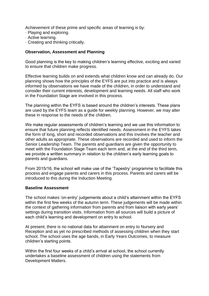Achievement of these prime and specific areas of learning is by:

- · Playing and exploring.
- · Active learning.
- · Creating and thinking critically.

# **Observation, Assessment and Planning**

Good planning is the key to making children's learning effective, exciting and varied to ensure that children make progress.

Effective learning builds on and extends what children know and can already do. Our planning shows how the principles of the EYFS are put into practice and is always informed by observations we have made of the children, in order to understand and consider their current interests, development and learning needs. All staff who work in the Foundation Stage are involved in this process.

The planning within the EYFS is based around the children's interests. These plans are used by the EYFS team as a guide for weekly planning. However, we may alter these in response to the needs of the children.

We make regular assessments of children's learning and we use this information to ensure that future planning reflects identified needs. Assessment in the EYFS takes the form of long, short and recorded observations and this involves the teacher and other adults as appropriate. These observations are recorded and used to inform the Senior Leadership Team. The parents and guardians are given the opportunity to meet with the Foundation Stage Team each term and, at the end of the third term, we provide a written summary in relation to the children's early learning goals to parents and guardians.

From 2015/16, the school will make use of the 'Tapestry' programme to facilitate this process and engage parents and carers in this process. Parents and carers will be introduced to this during the Induction Meeting.

### **Baseline Assessment**

The school makes 'on-entry' judgements about a child's attainment within the EYFS within the first few weeks of the autumn term. These judgements will be made within the context of gathering information from parents and from liaison with early years' settings during transition visits. Information from all sources will build a picture of each child's learning and development on entry to school.

At present, there is no national data for attainment on entry to Nursery and Reception and as yet no prescribed methods of assessing children when they start school. The school uses the age bands, in Early Years Outcomes, to measure children's starting points.

Within the first four weeks of a child's arrival at school, the school currently undertakes a baseline assessment of children using the statements from Development Matters.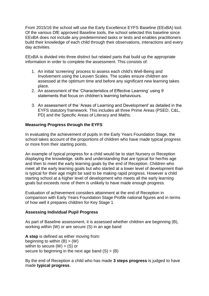From 2015/16 the school will use the Early Excellence EYFS Baseline (EExBA) tool. Of the various DfE approved Baseline tools, the school selected this baseline since EExBA does not include any predetermined tasks or tests and enables practitioners build their knowledge of each child through their observations, interactions and every day activities.

EExBA is divided into three distinct but related parts that build up the appropriate information in order to complete the assessment. This consists of:

- 1. An initial 'screening' process to assess each child's Well-Being and Involvement using the Leuven Scales. The scales ensure children are assessed at the optimum time and before any significant new learning takes place.
- 2. An assessment of the 'Characteristics of Effective Learning' using 9 statements that focus on children's learning behaviours.
- 3. An assessment of the 'Areas of Learning and Development' as detailed in the EYFS statutory framework. This includes all three Prime Areas (PSED, C&L, PD) and the Specific Areas of Literacy and Maths.

## **Measuring Progress through the EYFS**

In evaluating the achievement of pupils in the Early Years Foundation Stage, the school takes account of the proportions of children who have made typical progress or more from their starting points.

An example of typical progress for a child would be to start Nursery or Reception displaying the knowledge, skills and understanding that are typical for her/his age and then to meet the early learning goals by the end of Reception. Children who meet all the early learning goals but who started at a lower level of development than is typical for their age might be said to be making rapid progress. However a child starting school at a higher level of development who meets all the early learning goals but exceeds none of them is unlikely to have made enough progress.

Evaluation of achievement considers attainment at the end of Reception in comparison with Early Years Foundation Stage Profile national figures and in terms of how well it prepares children for Key Stage 1

### **Assessing Individual Pupil Progress**

As part of Baseline assessment, it is assessed whether children are beginning (B), working within (W) or are secure (S) in an age band

**A step** is defined as either moving from: beginning to within  $(B)$  >  $(W)$ within to secure  $(W) > (S)$  or secure to beginning in the next age band  $(S)$  >  $(B)$ 

By the end of Reception a child who has made **3 steps progress** is judged to have made **typical progress**.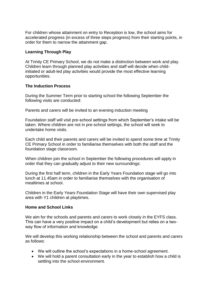For children whose attainment on entry to Reception is low, the school aims for accelerated progress (in excess of three steps progress) from their starting points, in order for them to narrow the attainment gap.

### **Learning Through Play**

At Trinity CE Primary School, we do not make a distinction between work and play. Children learn through planned play activities and staff will decide when childinitiated or adult-led play activities would provide the most effective learning opportunities.

### **The Induction Process**

During the Summer Term prior to starting school the following September the following visits are conducted:

Parents and carers will be invited to an evening induction meeting

Foundation staff will visit pre-school settings from which September's intake will be taken. Where children are not in pre-school settings, the school will seek to undertake home visits.

Each child and their parents and carers will be invited to spend some time at Trinity CE Primary School in order to familiarise themselves with both the staff and the foundation stage classroom.

When children join the school in September the following procedures will apply in order that they can gradually adjust to their new surroundings:

During the first half term, children in the Early Years Foundation stage will go into lunch at 11.45am in order to familiarise themselves with the organisation of mealtimes at school.

Children in the Early Years Foundation Stage will have their own supervised play area with Y1 children at playtimes.

### **Home and School Links**

We aim for the schools and parents and carers to work closely in the EYFS class. This can have a very positive impact on a child's development but relies on a twoway flow of information and knowledge.

We will develop this working relationship between the school and parents and carers as follows:

- We will outline the school's expectations in a home-school agreement.
- We will hold a parent consultation early in the year to establish how a child is settling into the school environment.